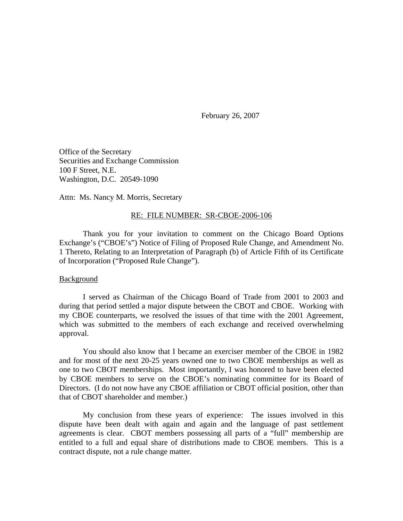February 26, 2007

Office of the Secretary Securities and Exchange Commission 100 F Street, N.E. Washington, D.C. 20549-1090

Attn: Ms. Nancy M. Morris, Secretary

#### RE: FILE NUMBER: SR-CBOE-2006-106

Thank you for your invitation to comment on the Chicago Board Options Exchange's ("CBOE's") Notice of Filing of Proposed Rule Change, and Amendment No. 1 Thereto, Relating to an Interpretation of Paragraph (b) of Article Fifth of its Certificate of Incorporation ("Proposed Rule Change").

### Background

I served as Chairman of the Chicago Board of Trade from 2001 to 2003 and during that period settled a major dispute between the CBOT and CBOE. Working with my CBOE counterparts, we resolved the issues of that time with the 2001 Agreement, which was submitted to the members of each exchange and received overwhelming approval.

You should also know that I became an exerciser member of the CBOE in 1982 and for most of the next 20-25 years owned one to two CBOE memberships as well as one to two CBOT memberships. Most importantly, I was honored to have been elected by CBOE members to serve on the CBOE's nominating committee for its Board of Directors. (I do not now have any CBOE affiliation or CBOT official position, other than that of CBOT shareholder and member.)

My conclusion from these years of experience: The issues involved in this dispute have been dealt with again and again and the language of past settlement agreements is clear. CBOT members possessing all parts of a "full" membership are entitled to a full and equal share of distributions made to CBOE members. This is a contract dispute, not a rule change matter.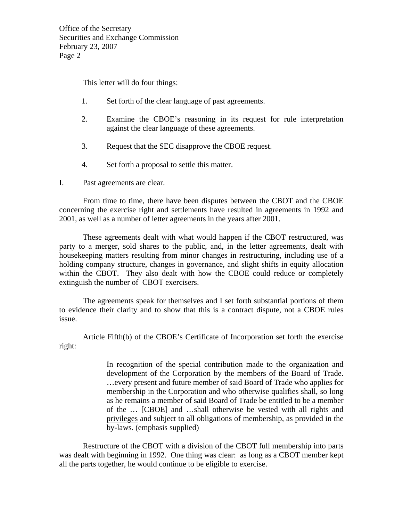This letter will do four things:

- 1. Set forth of the clear language of past agreements.
- 2. Examine the CBOE's reasoning in its request for rule interpretation against the clear language of these agreements.
- 3. Request that the SEC disapprove the CBOE request.
- 4. Set forth a proposal to settle this matter.
- I. Past agreements are clear.

From time to time, there have been disputes between the CBOT and the CBOE concerning the exercise right and settlements have resulted in agreements in 1992 and 2001, as well as a number of letter agreements in the years after 2001.

These agreements dealt with what would happen if the CBOT restructured, was party to a merger, sold shares to the public, and, in the letter agreements, dealt with housekeeping matters resulting from minor changes in restructuring, including use of a holding company structure, changes in governance, and slight shifts in equity allocation within the CBOT. They also dealt with how the CBOE could reduce or completely extinguish the number of CBOT exercisers.

The agreements speak for themselves and I set forth substantial portions of them to evidence their clarity and to show that this is a contract dispute, not a CBOE rules issue.

Article Fifth(b) of the CBOE's Certificate of Incorporation set forth the exercise right:

> In recognition of the special contribution made to the organization and development of the Corporation by the members of the Board of Trade. …every present and future member of said Board of Trade who applies for membership in the Corporation and who otherwise qualifies shall, so long as he remains a member of said Board of Trade be entitled to be a member of the … [CBOE] and …shall otherwise be vested with all rights and privileges and subject to all obligations of membership, as provided in the by-laws. (emphasis supplied)

Restructure of the CBOT with a division of the CBOT full membership into parts was dealt with beginning in 1992. One thing was clear: as long as a CBOT member kept all the parts together, he would continue to be eligible to exercise.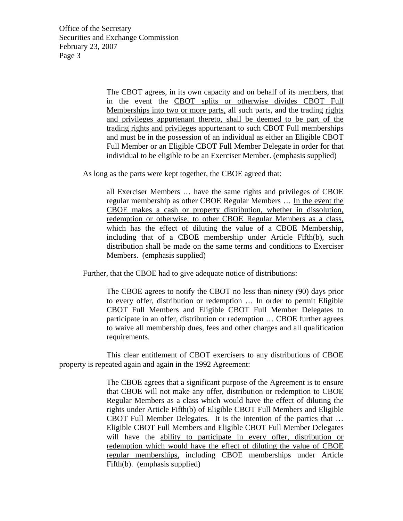> The CBOT agrees, in its own capacity and on behalf of its members, that in the event the CBOT splits or otherwise divides CBOT Full Memberships into two or more parts, all such parts, and the trading rights and privileges appurtenant thereto, shall be deemed to be part of the trading rights and privileges appurtenant to such CBOT Full memberships and must be in the possession of an individual as either an Eligible CBOT Full Member or an Eligible CBOT Full Member Delegate in order for that individual to be eligible to be an Exerciser Member. (emphasis supplied)

As long as the parts were kept together, the CBOE agreed that:

all Exerciser Members … have the same rights and privileges of CBOE regular membership as other CBOE Regular Members … In the event the CBOE makes a cash or property distribution, whether in dissolution, redemption or otherwise, to other CBOE Regular Members as a class, which has the effect of diluting the value of a CBOE Membership, including that of a CBOE membership under Article Fifth(b), such distribution shall be made on the same terms and conditions to Exerciser Members. (emphasis supplied)

Further, that the CBOE had to give adequate notice of distributions:

The CBOE agrees to notify the CBOT no less than ninety (90) days prior to every offer, distribution or redemption … In order to permit Eligible CBOT Full Members and Eligible CBOT Full Member Delegates to participate in an offer, distribution or redemption … CBOE further agrees to waive all membership dues, fees and other charges and all qualification requirements.

This clear entitlement of CBOT exercisers to any distributions of CBOE property is repeated again and again in the 1992 Agreement:

> The CBOE agrees that a significant purpose of the Agreement is to ensure that CBOE will not make any offer, distribution or redemption to CBOE Regular Members as a class which would have the effect of diluting the rights under Article Fifth(b) of Eligible CBOT Full Members and Eligible CBOT Full Member Delegates. It is the intention of the parties that … Eligible CBOT Full Members and Eligible CBOT Full Member Delegates will have the ability to participate in every offer, distribution or redemption which would have the effect of diluting the value of CBOE regular memberships, including CBOE memberships under Article Fifth(b). (emphasis supplied)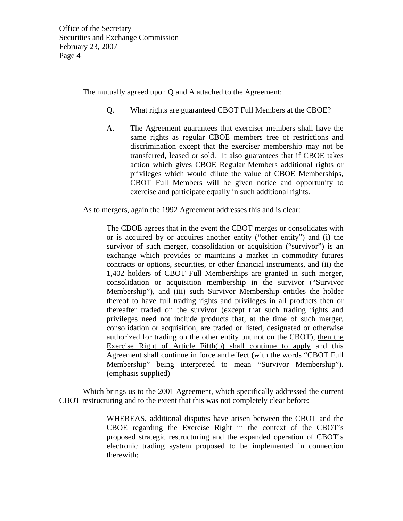The mutually agreed upon Q and A attached to the Agreement:

- Q. What rights are guaranteed CBOT Full Members at the CBOE?
- A. The Agreement guarantees that exerciser members shall have the same rights as regular CBOE members free of restrictions and discrimination except that the exerciser membership may not be transferred, leased or sold. It also guarantees that if CBOE takes action which gives CBOE Regular Members additional rights or privileges which would dilute the value of CBOE Memberships, CBOT Full Members will be given notice and opportunity to exercise and participate equally in such additional rights.

As to mergers, again the 1992 Agreement addresses this and is clear:

The CBOE agrees that in the event the CBOT merges or consolidates with or is acquired by or acquires another entity ("other entity") and (i) the survivor of such merger, consolidation or acquisition ("survivor") is an exchange which provides or maintains a market in commodity futures contracts or options, securities, or other financial instruments, and (ii) the 1,402 holders of CBOT Full Memberships are granted in such merger, consolidation or acquisition membership in the survivor ("Survivor Membership"), and (iii) such Survivor Membership entitles the holder thereof to have full trading rights and privileges in all products then or thereafter traded on the survivor (except that such trading rights and privileges need not include products that, at the time of such merger, consolidation or acquisition, are traded or listed, designated or otherwise authorized for trading on the other entity but not on the CBOT), then the Exercise Right of Article Fifth(b) shall continue to apply and this Agreement shall continue in force and effect (with the words "CBOT Full Membership" being interpreted to mean "Survivor Membership"). (emphasis supplied)

Which brings us to the 2001 Agreement, which specifically addressed the current CBOT restructuring and to the extent that this was not completely clear before:

> WHEREAS, additional disputes have arisen between the CBOT and the CBOE regarding the Exercise Right in the context of the CBOT's proposed strategic restructuring and the expanded operation of CBOT's electronic trading system proposed to be implemented in connection therewith;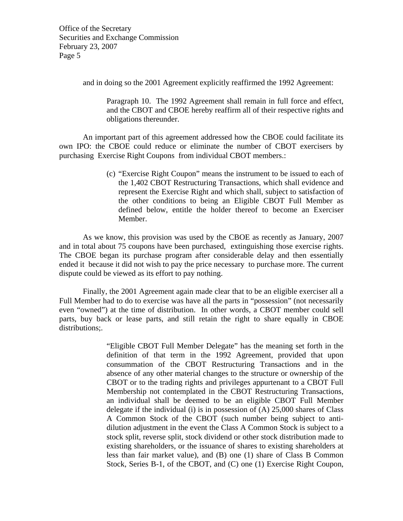and in doing so the 2001 Agreement explicitly reaffirmed the 1992 Agreement:

Paragraph 10. The 1992 Agreement shall remain in full force and effect, and the CBOT and CBOE hereby reaffirm all of their respective rights and obligations thereunder.

An important part of this agreement addressed how the CBOE could facilitate its own IPO: the CBOE could reduce or eliminate the number of CBOT exercisers by purchasing Exercise Right Coupons from individual CBOT members.:

> (c) "Exercise Right Coupon" means the instrument to be issued to each of the 1,402 CBOT Restructuring Transactions, which shall evidence and represent the Exercise Right and which shall, subject to satisfaction of the other conditions to being an Eligible CBOT Full Member as defined below, entitle the holder thereof to become an Exerciser Member.

As we know, this provision was used by the CBOE as recently as January, 2007 and in total about 75 coupons have been purchased, extinguishing those exercise rights. The CBOE began its purchase program after considerable delay and then essentially ended it because it did not wish to pay the price necessary to purchase more. The current dispute could be viewed as its effort to pay nothing.

Finally, the 2001 Agreement again made clear that to be an eligible exerciser all a Full Member had to do to exercise was have all the parts in "possession" (not necessarily even "owned") at the time of distribution. In other words, a CBOT member could sell parts, buy back or lease parts, and still retain the right to share equally in CBOE distributions:.

> "Eligible CBOT Full Member Delegate" has the meaning set forth in the definition of that term in the 1992 Agreement, provided that upon consummation of the CBOT Restructuring Transactions and in the absence of any other material changes to the structure or ownership of the CBOT or to the trading rights and privileges appurtenant to a CBOT Full Membership not contemplated in the CBOT Restructuring Transactions, an individual shall be deemed to be an eligible CBOT Full Member delegate if the individual (i) is in possession of (A) 25,000 shares of Class A Common Stock of the CBOT (such number being subject to antidilution adjustment in the event the Class A Common Stock is subject to a stock split, reverse split, stock dividend or other stock distribution made to existing shareholders, or the issuance of shares to existing shareholders at less than fair market value), and (B) one (1) share of Class B Common Stock, Series B-1, of the CBOT, and (C) one (1) Exercise Right Coupon,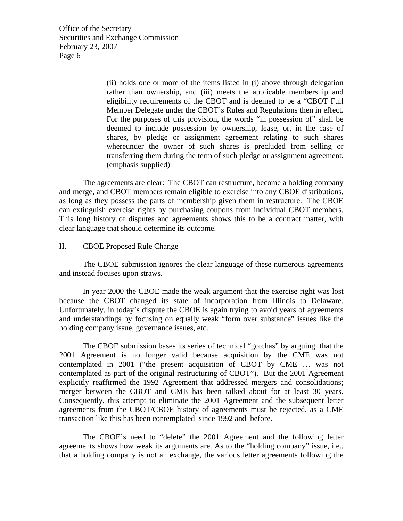> (ii) holds one or more of the items listed in (i) above through delegation rather than ownership, and (iii) meets the applicable membership and eligibility requirements of the CBOT and is deemed to be a "CBOT Full Member Delegate under the CBOT's Rules and Regulations then in effect. For the purposes of this provision, the words "in possession of" shall be deemed to include possession by ownership, lease, or, in the case of shares, by pledge or assignment agreement relating to such shares whereunder the owner of such shares is precluded from selling or transferring them during the term of such pledge or assignment agreement. (emphasis supplied)

The agreements are clear: The CBOT can restructure, become a holding company and merge, and CBOT members remain eligible to exercise into any CBOE distributions, as long as they possess the parts of membership given them in restructure. The CBOE can extinguish exercise rights by purchasing coupons from individual CBOT members. This long history of disputes and agreements shows this to be a contract matter, with clear language that should determine its outcome.

# II. CBOE Proposed Rule Change

The CBOE submission ignores the clear language of these numerous agreements and instead focuses upon straws.

In year 2000 the CBOE made the weak argument that the exercise right was lost because the CBOT changed its state of incorporation from Illinois to Delaware. Unfortunately, in today's dispute the CBOE is again trying to avoid years of agreements and understandings by focusing on equally weak "form over substance" issues like the holding company issue, governance issues, etc.

The CBOE submission bases its series of technical "gotchas" by arguing that the 2001 Agreement is no longer valid because acquisition by the CME was not contemplated in 2001 ("the present acquisition of CBOT by CME … was not contemplated as part of the original restructuring of CBOT"). But the 2001 Agreement explicitly reaffirmed the 1992 Agreement that addressed mergers and consolidations; merger between the CBOT and CME has been talked about for at least 30 years. Consequently, this attempt to eliminate the 2001 Agreement and the subsequent letter agreements from the CBOT/CBOE history of agreements must be rejected, as a CME transaction like this has been contemplated since 1992 and before.

The CBOE's need to "delete" the 2001 Agreement and the following letter agreements shows how weak its arguments are. As to the "holding company" issue, i.e., that a holding company is not an exchange, the various letter agreements following the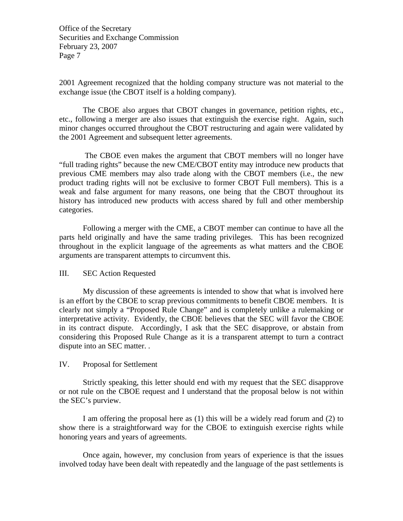2001 Agreement recognized that the holding company structure was not material to the exchange issue (the CBOT itself is a holding company).

The CBOE also argues that CBOT changes in governance, petition rights, etc., etc., following a merger are also issues that extinguish the exercise right. Again, such minor changes occurred throughout the CBOT restructuring and again were validated by the 2001 Agreement and subsequent letter agreements.

 The CBOE even makes the argument that CBOT members will no longer have "full trading rights" because the new CME/CBOT entity may introduce new products that previous CME members may also trade along with the CBOT members (i.e., the new product trading rights will not be exclusive to former CBOT Full members). This is a weak and false argument for many reasons, one being that the CBOT throughout its history has introduced new products with access shared by full and other membership categories.

Following a merger with the CME, a CBOT member can continue to have all the parts held originally and have the same trading privileges. This has been recognized throughout in the explicit language of the agreements as what matters and the CBOE arguments are transparent attempts to circumvent this.

## III. SEC Action Requested

My discussion of these agreements is intended to show that what is involved here is an effort by the CBOE to scrap previous commitments to benefit CBOE members. It is clearly not simply a "Proposed Rule Change" and is completely unlike a rulemaking or interpretative activity. Evidently, the CBOE believes that the SEC will favor the CBOE in its contract dispute. Accordingly, I ask that the SEC disapprove, or abstain from considering this Proposed Rule Change as it is a transparent attempt to turn a contract dispute into an SEC matter. .

## IV. Proposal for Settlement

Strictly speaking, this letter should end with my request that the SEC disapprove or not rule on the CBOE request and I understand that the proposal below is not within the SEC's purview.

I am offering the proposal here as (1) this will be a widely read forum and (2) to show there is a straightforward way for the CBOE to extinguish exercise rights while honoring years and years of agreements.

 Once again, however, my conclusion from years of experience is that the issues involved today have been dealt with repeatedly and the language of the past settlements is